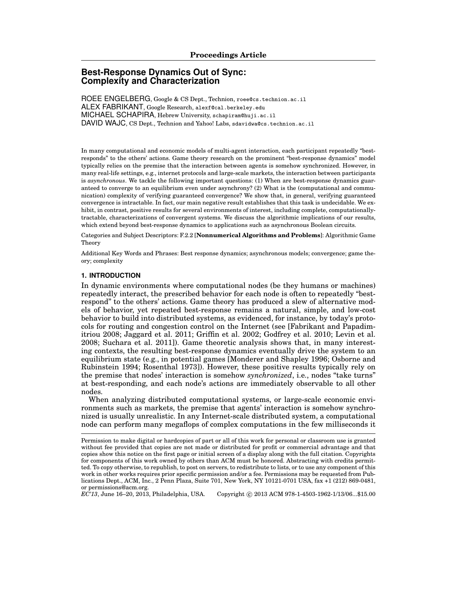# **Best-Response Dynamics Out of Sync: Complexity and Characterization**

ROEE ENGELBERG, Google & CS Dept., Technion, roee@cs.technion.ac.il ALEX FABRIKANT, Google Research, alexf@cal.berkeley.edu MICHAEL SCHAPIRA, Hebrew University, schapiram@huji.ac.il DAVID WAJC, CS Dept., Technion and Yahoo! Labs, sdavidwa@cs.technion.ac.il

In many computational and economic models of multi-agent interaction, each participant repeatedly "bestresponds" to the others' actions. Game theory research on the prominent "best-response dynamics" model typically relies on the premise that the interaction between agents is somehow synchronized. However, in many real-life settings, e.g., internet protocols and large-scale markets, the interaction between participants is *asynchronous*. We tackle the following important questions: (1) When are best-response dynamics guaranteed to converge to an equilibrium even under asynchrony? (2) What is the (computational and communication) complexity of verifying guaranteed convergence? We show that, in general, verifying guaranteed convergence is intractable. In fact, our main negative result establishes that this task is undecidable. We exhibit, in contrast, positive results for several environments of interest, including complete, computationallytractable, characterizations of convergent systems. We discuss the algorithmic implications of our results, which extend beyond best-response dynamics to applications such as asynchronous Boolean circuits.

Categories and Subject Descriptors: F.2.2 [**Nonnumerical Algorithms and Problems**]: Algorithmic Game Theory

Additional Key Words and Phrases: Best response dynamics; asynchronous models; convergence; game theory; complexity

#### **1. INTRODUCTION**

In dynamic environments where computational nodes (be they humans or machines) repeatedly interact, the prescribed behavior for each node is often to repeatedly "bestrespond" to the others' actions. Game theory has produced a slew of alternative models of behavior, yet repeated best-response remains a natural, simple, and low-cost behavior to build into distributed systems, as evidenced, for instance, by today's protocols for routing and congestion control on the Internet (see [Fabrikant and Papadimitriou 2008; Jaggard et al. 2011; Griffin et al. 2002; Godfrey et al. 2010; Levin et al. 2008; Suchara et al. 2011]). Game theoretic analysis shows that, in many interesting contexts, the resulting best-response dynamics eventually drive the system to an equilibrium state (e.g., in potential games [Monderer and Shapley 1996; Osborne and Rubinstein 1994; Rosenthal 1973]). However, these positive results typically rely on the premise that nodes' interaction is somehow *synchronized*, i.e., nodes "take turns" at best-responding, and each node's actions are immediately observable to all other nodes.

When analyzing distributed computational systems, or large-scale economic environments such as markets, the premise that agents' interaction is somehow synchronized is usually unrealistic. In any Internet-scale distributed system, a computational node can perform many megaflops of complex computations in the few milliseconds it

*Copyright @ 2013 ACM 978-1-4503-1962-1/13/06...\$15.00* 

Permission to make digital or hardcopies of part or all of this work for personal or classroom use is granted without fee provided that copies are not made or distributed for profit or commercial advantage and that copies show this notice on the first page or initial screen of a display along with the full citation. Copyrights for components of this work owned by others than ACM must be honored. Abstracting with credits permitted. To copy otherwise, to republish, to post on servers, to redistribute to lists, or to use any component of this work in other works requires prior specific permission and/or a fee. Permissions may be requested from Publications Dept., ACM, Inc., 2 Penn Plaza, Suite 701, New York, NY 10121-0701 USA, fax +1 (212) 869-0481, or permissions@acm.org.<br> $EC'13$ , June 16–20, 2013, Philadelphia, USA.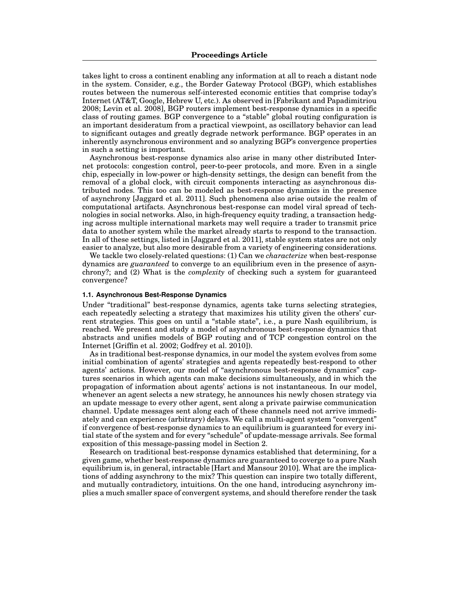takes light to cross a continent enabling any information at all to reach a distant node in the system. Consider, e.g., the Border Gateway Protocol (BGP), which establishes routes between the numerous self-interested economic entities that comprise today's Internet (AT&T, Google, Hebrew U, etc.). As observed in [Fabrikant and Papadimitriou 2008; Levin et al. 2008], BGP routers implement best-response dynamics in a specific class of routing games. BGP convergence to a "stable" global routing configuration is an important desideratum from a practical viewpoint, as oscillatory behavior can lead to significant outages and greatly degrade network performance. BGP operates in an inherently asynchronous environment and so analyzing BGP's convergence properties in such a setting is important.

Asynchronous best-response dynamics also arise in many other distributed Internet protocols: congestion control, peer-to-peer protocols, and more. Even in a single chip, especially in low-power or high-density settings, the design can benefit from the removal of a global clock, with circuit components interacting as asynchronous distributed nodes. This too can be modeled as best-response dynamics in the presence of asynchrony [Jaggard et al. 2011]. Such phenomena also arise outside the realm of computational artifacts. Asynchronous best-response can model viral spread of technologies in social networks. Also, in high-frequency equity trading, a transaction hedging across multiple international markets may well require a trader to transmit price data to another system while the market already starts to respond to the transaction. In all of these settings, listed in [Jaggard et al. 2011], stable system states are not only easier to analyze, but also more desirable from a variety of engineering considerations.

We tackle two closely-related questions: (1) Can we *characterize* when best-response dynamics are *guaranteed* to converge to an equilibrium even in the presence of asynchrony?; and (2) What is the *complexity* of checking such a system for guaranteed convergence?

## **1.1. Asynchronous Best-Response Dynamics**

Under "traditional" best-response dynamics, agents take turns selecting strategies, each repeatedly selecting a strategy that maximizes his utility given the others' current strategies. This goes on until a "stable state", i.e., a pure Nash equilibrium, is reached. We present and study a model of asynchronous best-response dynamics that abstracts and unifies models of BGP routing and of TCP congestion control on the Internet [Griffin et al. 2002; Godfrey et al. 2010]).

As in traditional best-response dynamics, in our model the system evolves from some initial combination of agents' strategies and agents repeatedly best-respond to other agents' actions. However, our model of "asynchronous best-response dynamics" captures scenarios in which agents can make decisions simultaneously, and in which the propagation of information about agents' actions is not instantaneous. In our model, whenever an agent selects a new strategy, he announces his newly chosen strategy via an update message to every other agent, sent along a private pairwise communication channel. Update messages sent along each of these channels need not arrive immediately and can experience (arbitrary) delays. We call a multi-agent system "convergent" if convergence of best-response dynamics to an equilibrium is guaranteed for every initial state of the system and for every "schedule" of update-message arrivals. See formal exposition of this message-passing model in Section 2.

Research on traditional best-response dynamics established that determining, for a given game, whether best-response dynamics are guaranteed to coverge to a pure Nash equilibrium is, in general, intractable [Hart and Mansour 2010]. What are the implications of adding asynchrony to the mix? This question can inspire two totally different, and mutually contradictory, intuitions. On the one hand, introducing asynchrony implies a much smaller space of convergent systems, and should therefore render the task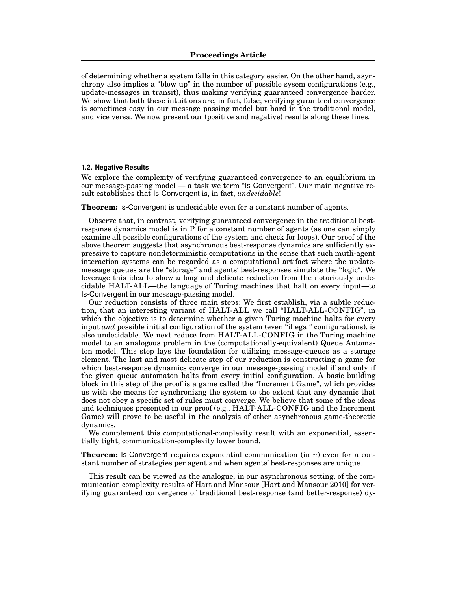of determining whether a system falls in this category easier. On the other hand, asynchrony also implies a "blow up" in the number of possible sysem configurations (e.g., update-messages in transit), thus making verifying guaranteed convergence harder. We show that both these intuitions are, in fact, false; verifying guranteed convergence is sometimes easy in our message passing model but hard in the traditional model, and vice versa. We now present our (positive and negative) results along these lines.

## **1.2. Negative Results**

We explore the complexity of verifying guaranteed convergence to an equilibrium in our message-passing model — a task we term "Is-Convergent". Our main negative result establishes that Is-Convergent is, in fact, *undecidable*!

**Theorem:** Is-Convergent is undecidable even for a constant number of agents.

Observe that, in contrast, verifying guaranteed convergence in the traditional bestresponse dynamics model is in P for a constant number of agents (as one can simply examine all possible configurations of the system and check for loops). Our proof of the above theorem suggests that asynchronous best-response dynamics are sufficiently expressive to capture nondeterministic computations in the sense that such mutli-agent interaction systems can be regarded as a computational artifact where the updatemessage queues are the "storage" and agents' best-responses simulate the "logic". We leverage this idea to show a long and delicate reduction from the notoriously undecidable HALT-ALL—the language of Turing machines that halt on every input—to Is-Convergent in our message-passing model.

Our reduction consists of three main steps: We first establish, via a subtle reduction, that an interesting variant of HALT-ALL we call "HALT-ALL-CONFIG", in which the objective is to determine whether a given Turing machine halts for every input *and* possible initial configuration of the system (even "illegal" configurations), is also undecidable. We next reduce from HALT-ALL-CONFIG in the Turing machine model to an analogous problem in the (computationally-equivalent) Queue Automaton model. This step lays the foundation for utilizing message-queues as a storage element. The last and most delicate step of our reduction is constructing a game for which best-response dynamics converge in our message-passing model if and only if the given queue automaton halts from every initial configuration. A basic building block in this step of the proof is a game called the "Increment Game", which provides us with the means for synchronizng the system to the extent that any dynamic that does not obey a specific set of rules must converge. We believe that some of the ideas and techniques presented in our proof (e.g., HALT-ALL-CONFIG and the Increment Game) will prove to be useful in the analysis of other asynchronous game-theoretic dynamics.

We complement this computational-complexity result with an exponential, essentially tight, communication-complexity lower bound.

**Theorem:** Is-Convergent requires exponential communication (in *n*) even for a constant number of strategies per agent and when agents' best-responses are unique.

This result can be viewed as the analogue, in our asynchronous setting, of the communication complexity results of Hart and Mansour [Hart and Mansour 2010] for verifying guaranteed convergence of traditional best-response (and better-response) dy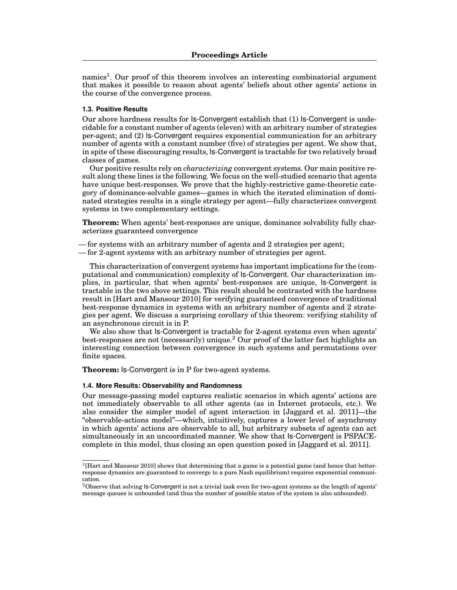namics<sup>1</sup>. Our proof of this theorem involves an interesting combinatorial argument that makes it possible to reason about agents' beliefs about other agents' actions in the course of the convergence process.

## **1.3. Positive Results**

Our above hardness results for Is-Convergent establish that (1) Is-Convergent is undecidable for a constant number of agents (eleven) with an arbitrary number of strategies per-agent; and (2) Is-Convergent requires exponential communication for an arbitrary number of agents with a constant number (five) of strategies per agent. We show that, in spite of these discouraging results, Is-Convergent is tractable for two relatively broad classes of games.

Our positive results rely on *characterizing* convergent systems. Our main positive result along these lines is the following. We focus on the well-studied scenario that agents have unique best-responses. We prove that the highly-restrictive game-theoretic category of dominance-solvable games—games in which the iterated elimination of dominated strategies results in a single strategy per agent—fully characterizes convergent systems in two complementary settings.

**Theorem:** When agents' best-responses are unique, dominance solvability fully characterizes guaranteed convergence

— for systems with an arbitrary number of agents and 2 strategies per agent;

— for 2-agent systems with an arbitrary number of strategies per agent.

This characterization of convergent systems has important implications for the (computational and communication) complexity of Is-Convergent. Our characterization implies, in particular, that when agents' best-responses are unique, Is-Convergent is tractable in the two above settings. This result should be contrasted with the hardness result in [Hart and Mansour 2010] for verifying guaranteed convergence of traditional best-response dynamics in systems with an arbitrary number of agents and 2 strategies per agent. We discuss a surprising corollary of this theorem: verifying stability of an asynchronous circuit is in P.

We also show that Is-Convergent is tractable for 2-agent systems even when agents' best-responses are not (necessarily) unique.<sup>2</sup> Our proof of the latter fact highlights an interesting connection between convergence in such systems and permutations over finite spaces.

**Theorem:** Is-Convergent is in P for two-agent systems.

## **1.4. More Results: Observability and Randomness**

Our message-passing model captures realistic scenarios in which agents' actions are not immediately observable to all other agents (as in Internet protocols, etc.). We also consider the simpler model of agent interaction in [Jaggard et al. 2011]—the "observable-actions model"—which, intuitively, captures a lower level of asynchrony in which agents' actions are observable to all, but arbitrary subsets of agents can act simultaneously in an uncoordinated manner. We show that Is-Convergent is PSPACEcomplete in this model, thus closing an open question posed in [Jaggard et al. 2011].

 $1$ [Hart and Mansour 2010] shows that determining that a game is a potential game (and hence that betterresponse dynamics are guaranteed to converge to a pure Nash equilibrium) requires exponential communication.

 $2$ Observe that solving Is-Convergent is not a trivial task even for two-agent systems as the length of agents' message queues is unbounded (and thus the number of possible states of the system is also unbounded).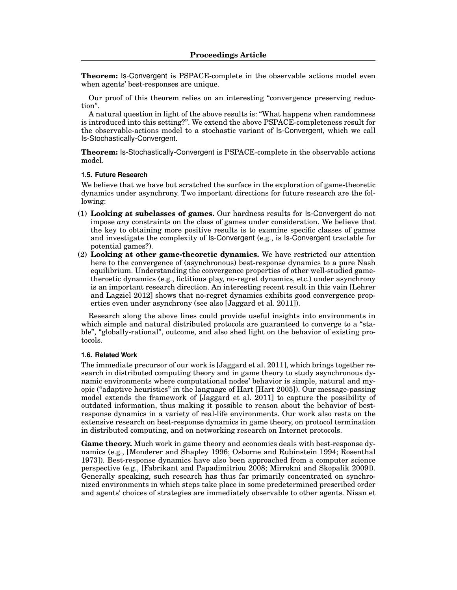**Theorem:** Is-Convergent is PSPACE-complete in the observable actions model even when agents' best-responses are unique.

Our proof of this theorem relies on an interesting "convergence preserving reduction".

A natural question in light of the above results is: "What happens when randomness is introduced into this setting?". We extend the above PSPACE-completeness result for the observable-actions model to a stochastic variant of Is-Convergent, which we call Is-Stochastically-Convergent.

**Theorem:** Is-Stochastically-Convergent is PSPACE-complete in the observable actions model.

#### **1.5. Future Research**

We believe that we have but scratched the surface in the exploration of game-theoretic dynamics under asynchrony. Two important directions for future research are the following:

- (1) **Looking at subclasses of games.** Our hardness results for Is-Convergent do not impose *any* constraints on the class of games under consideration. We believe that the key to obtaining more positive results is to examine specific classes of games and investigate the complexity of Is-Convergent (e.g., is Is-Convergent tractable for potential games?).
- (2) **Looking at other game-theoretic dynamics.** We have restricted our attention here to the convergence of (asynchronous) best-response dynamics to a pure Nash equilibrium. Understanding the convergence properties of other well-studied gametheroetic dynamics (e.g., fictitious play, no-regret dynamics, etc.) under asynchrony is an important research direction. An interesting recent result in this vain [Lehrer and Lagziel 2012] shows that no-regret dynamics exhibits good convergence properties even under asynchrony (see also [Jaggard et al. 2011]).

Research along the above lines could provide useful insights into environments in which simple and natural distributed protocols are guaranteed to converge to a "stable", "globally-rational", outcome, and also shed light on the behavior of existing protocols.

## **1.6. Related Work**

The immediate precursor of our work is [Jaggard et al. 2011], which brings together research in distributed computing theory and in game theory to study asynchronous dynamic environments where computational nodes' behavior is simple, natural and myopic ("adaptive heuristics" in the language of Hart [Hart 2005]). Our message-passing model extends the framework of [Jaggard et al. 2011] to capture the possibility of outdated information, thus making it possible to reason about the behavior of bestresponse dynamics in a variety of real-life environments. Our work also rests on the extensive research on best-response dynamics in game theory, on protocol termination in distributed computing, and on networking research on Internet protocols.

**Game theory.** Much work in game theory and economics deals with best-response dynamics (e.g., [Monderer and Shapley 1996; Osborne and Rubinstein 1994; Rosenthal 1973]). Best-response dynamics have also been approached from a computer science perspective (e.g., [Fabrikant and Papadimitriou 2008; Mirrokni and Skopalik 2009]). Generally speaking, such research has thus far primarily concentrated on synchronized environments in which steps take place in some predetermined prescribed order and agents' choices of strategies are immediately observable to other agents. Nisan et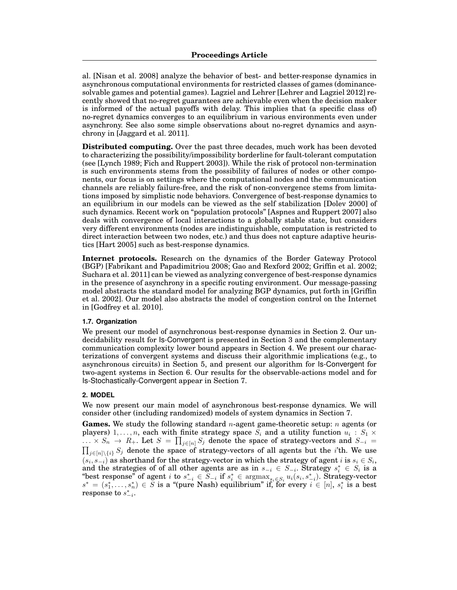al. [Nisan et al. 2008] analyze the behavior of best- and better-response dynamics in asynchronous computational environments for restricted classes of games (dominancesolvable games and potential games). Lagziel and Lehrer [Lehrer and Lagziel 2012] recently showed that no-regret guarantees are achievable even when the decision maker is informed of the actual payoffs with delay. This implies that (a specific class of) no-regret dynamics converges to an equilibrium in various environments even under asynchrony. See also some simple observations about no-regret dynamics and asynchrony in [Jaggard et al. 2011].

**Distributed computing.** Over the past three decades, much work has been devoted to characterizing the possibility/impossibility borderline for fault-tolerant computation (see [Lynch 1989; Fich and Ruppert 2003]). While the risk of protocol non-termination is such environments stems from the possibility of failures of nodes or other components, our focus is on settings where the computational nodes and the communication channels are reliably failure-free, and the risk of non-convergence stems from limitations imposed by simplistic node behaviors. Convergence of best-response dynamics to an equilibrium in our models can be viewed as the self stabilization [Dolev 2000] of such dynamics. Recent work on "population protocols" [Aspnes and Ruppert 2007] also deals with convergence of local interactions to a globally stable state, but considers very different environments (nodes are indistinguishable, computation is restricted to direct interaction between two nodes, etc.) and thus does not capture adaptive heuristics [Hart 2005] such as best-response dynamics.

**Internet protocols.** Research on the dynamics of the Border Gateway Protocol (BGP) [Fabrikant and Papadimitriou 2008; Gao and Rexford 2002; Griffin et al. 2002; Suchara et al. 2011] can be viewed as analyzing convergence of best-response dynamics in the presence of asynchrony in a specific routing environment. Our message-passing model abstracts the standard model for analyzing BGP dynamics, put forth in [Griffin et al. 2002]. Our model also abstracts the model of congestion control on the Internet in [Godfrey et al. 2010].

#### **1.7. Organization**

We present our model of asynchronous best-response dynamics in Section 2. Our undecidability result for Is-Convergent is presented in Section 3 and the complementary communication complexity lower bound appears in Section 4. We present our characterizations of convergent systems and discuss their algorithmic implications (e.g., to asynchronous circuits) in Section 5, and present our algorithm for Is-Convergent for two-agent systems in Section 6. Our results for the observable-actions model and for Is-Stochastically-Convergent appear in Section 7.

## **2. MODEL**

We now present our main model of asynchronous best-response dynamics. We will consider other (including randomized) models of system dynamics in Section 7.

**Games.** We study the following standard *n*-agent game-theoretic setup: *n* agents (or players) 1,..., *n*, each with finite strategy space  $S_i$  and a utility function  $u_i : S_1 \times S_2$  $\prod_{j\in[n]\setminus\{i\}} S_j \rightarrow R_+$ . Let  $S = \prod_{j\in[n]} S_j$  denote the space of strategy-vectors and  $S_{-i} = \prod_{j\in[n]\setminus\{i\}} S_j$  denote the space of strategy-vectors of all agents but the *i*'th. We use  $(s_i, s_{-i})$  as shorthand for the strategy-vector in which the strategy of agent *i* is  $s_i \in S_i$ , and the strategies of of all other agents are as in  $s_{-i} \in S_{-i}$ . Strategy  $s_i^* \in S_i$  is a "best response" of agent  $i$  to  $s_{-i}^* \in S_{-i}$  if  $s_i^* \in \text{argmax}_{s_i \in S_i} u_i(s_i, s_{-i}^*)$ . Strategy-vector  $s^* = (s_1^*, \ldots, s_n^*) \in S$  i  $r$  response to  $s^*_{-i}$ .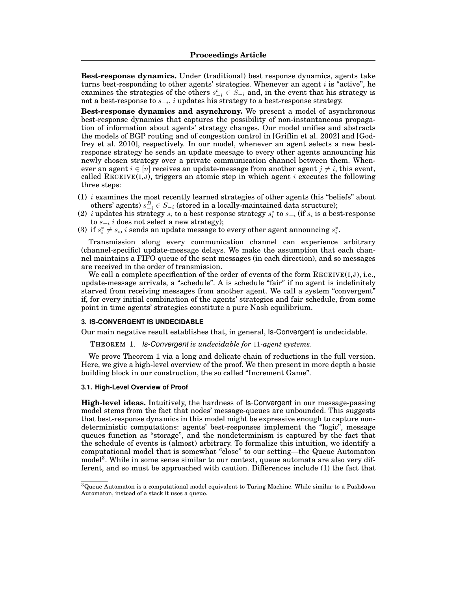**Best-response dynamics.** Under (traditional) best response dynamics, agents take turns best-responding to other agents' strategies. Whenever an agent *i* is "active", he examines the strategies of the others  $s_{i}^{t} \in S_{-i}$  and, in the event that his strategy is not a best-response to  $s_{i}$ , *i* updates his strategy to a best-response strategy.

**Best-response dynamics and asynchrony.** We present a model of asynchronous best-response dynamics that captures the possibility of non-instantaneous propagation of information about agents' strategy changes. Our model unifies and abstracts the models of BGP routing and of congestion control in [Griffin et al. 2002] and [Godfrey et al. 2010], respectively. In our model, whenever an agent selects a new bestresponse strategy he sends an update message to every other agents announcing his newly chosen strategy over a private communication channel between them. Whenever an agent  $i \in [n]$  receives an update-message from another agent  $j \neq i$ , this event, called RECEIVE(I,J), triggers an atomic step in which agent *i* executes the following three steps:

- (1) *i* examines the most recently learned strategies of other agents (his "beliefs" about others' agents)  $s_{-i}^B \in S_{-i}$  (stored in a locally-maintained data structure);
- (2) *i* updates his strategy  $s_i$  to a best response strategy  $s_i^*$  to  $s_{-i}$  (if  $s_i$  is a best-response to  $s_{i}$  *i* does not select a new strategy);
- (3) if  $s_i^* \neq s_i$ , *i* sends an update message to every other agent announcing  $s_i^*$ .

Transmission along every communication channel can experience arbitrary (channel-specific) update-message delays. We make the assumption that each channel maintains a FIFO queue of the sent messages (in each direction), and so messages are received in the order of transmission.

We call a complete specification of the order of events of the form  $RECEIVE(I,J)$ , i.e., update-message arrivals, a "schedule". A is schedule "fair" if no agent is indefinitely starved from receiving messages from another agent. We call a system "convergent" if, for every initial combination of the agents' strategies and fair schedule, from some point in time agents' strategies constitute a pure Nash equilibrium.

### **3. IS-CONVERGENT IS UNDECIDABLE**

Our main negative result establishes that, in general, Is-Convergent is undecidable.

#### THEOREM 1. *Is-Convergent is undecidable for* 11*-agent systems.*

We prove Theorem 1 via a long and delicate chain of reductions in the full version. Here, we give a high-level overview of the proof. We then present in more depth a basic building block in our construction, the so called "Increment Game".

#### **3.1. High-Level Overview of Proof**

**High-level ideas.** Intuitively, the hardness of Is-Convergent in our message-passing model stems from the fact that nodes' message-queues are unbounded. This suggests that best-response dynamics in this model might be expressive enough to capture nondeterministic computations: agents' best-responses implement the "logic", message queues function as "storage", and the nondeterminism is captured by the fact that the schedule of events is (almost) arbitrary. To formalize this intuition, we identify a computational model that is somewhat "close" to our setting—the Queue Automaton model<sup>3</sup>. While in some sense similar to our context, queue automata are also very different, and so must be approached with caution. Differences include (1) the fact that

 $3$ Queue Automaton is a computational model equivalent to Turing Machine. While similar to a Pushdown Automaton, instead of a stack it uses a queue.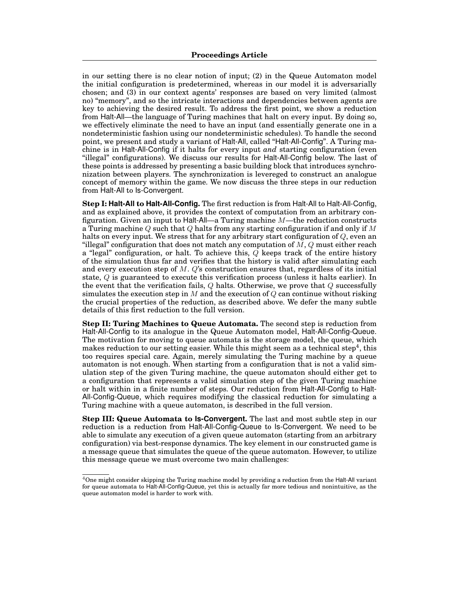in our setting there is no clear notion of input; (2) in the Queue Automaton model the initial configuration is predetermined, whereas in our model it is adversarially chosen; and (3) in our context agents' responses are based on very limited (almost no) "memory", and so the intricate interactions and dependencies between agents are key to achieving the desired result. To address the first point, we show a reduction from Halt-All—the language of Turing machines that halt on every input. By doing so, we effectively eliminate the need to have an input (and essentially generate one in a nondeterministic fashion using our nondeterministic schedules). To handle the second point, we present and study a variant of Halt-All, called "Halt-All-Config". A Turing machine is in Halt-All-Config if it halts for every input *and* starting configuration (even "illegal" configurations). We discuss our results for Halt-All-Config below. The last of these points is addressed by presenting a basic building block that introduces synchronization between players. The synchronization is levereged to construct an analogue concept of memory within the game. We now discuss the three steps in our reduction from Halt-All to Is-Convergent.

**Step I: Halt-All to Halt-All-Config.** The first reduction is from Halt-All to Halt-All-Config, and as explained above, it provides the context of computation from an arbitrary configuration. Given an input to Halt-All—a Turing machine *M*—the reduction constructs a Turing machine *Q* such that *Q* halts from any starting configuration if and only if *M* halts on every input. We stress that for any arbitrary start configuration of *Q*, even an "illegal" configuration that does not match any computation of *M*, *Q* must either reach a "legal" configuration, or halt. To achieve this, *Q* keeps track of the entire history of the simulation thus far and verifies that the history is valid after simulating each and every execution step of *M*. *Q*'s construction ensures that, regardless of its initial state, *Q* is guaranteed to execute this verification process (unless it halts earlier). In the event that the verification fails, *Q* halts. Otherwise, we prove that *Q* successfully simulates the execution step in *M* and the execution of *Q* can continue without risking the crucial properties of the reduction, as described above. We defer the many subtle details of this first reduction to the full version.

**Step II: Turing Machines to Queue Automata.** The second step is reduction from Halt-All-Config to its analogue in the Queue Automaton model, Halt-All-Config-Queue. The motivation for moving to queue automata is the storage model, the queue, which makes reduction to our setting easier. While this might seem as a technical step<sup>4</sup>, this too requires special care. Again, merely simulating the Turing machine by a queue automaton is not enough. When starting from a configuration that is not a valid simulation step of the given Turing machine, the queue automaton should either get to a configuration that represents a valid simulation step of the given Turing machine or halt within in a finite number of steps. Our reduction from Halt-All-Config to Halt-All-Config-Queue, which requires modifying the classical reduction for simulating a Turing machine with a queue automaton, is described in the full version.

**Step III: Queue Automata to Is-Convergent.** The last and most subtle step in our reduction is a reduction from Halt-All-Config-Queue to Is-Convergent. We need to be able to simulate any execution of a given queue automaton (starting from an arbitrary configuration) via best-response dynamics. The key element in our constructed game is a message queue that simulates the queue of the queue automaton. However, to utilize this message queue we must overcome two main challenges:

<sup>4</sup>One might consider skipping the Turing machine model by providing a reduction from the Halt-All variant for queue automata to Halt-All-Config-Queue, yet this is actually far more tedious and nonintuitive, as the queue automaton model is harder to work with.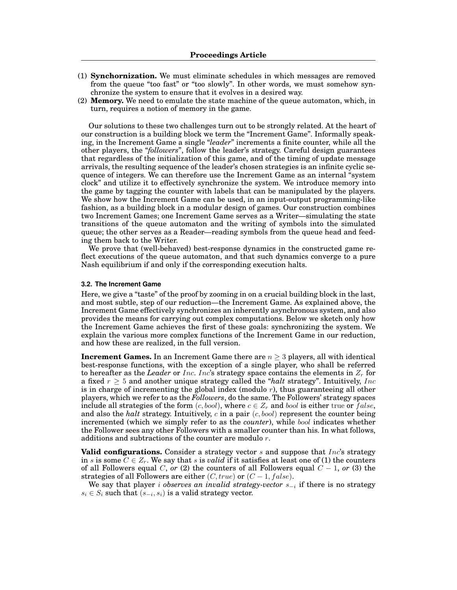- (1) **Synchornization.** We must eliminate schedules in which messages are removed from the queue "too fast" or "too slowly". In other words, we must somehow synchronize the system to ensure that it evolves in a desired way.
- (2) **Memory.** We need to emulate the state machine of the queue automaton, which, in turn, requires a notion of memory in the game.

Our solutions to these two challenges turn out to be strongly related. At the heart of our construction is a building block we term the "Increment Game". Informally speaking, in the Increment Game a single "*leader*" increments a finite counter, while all the other players, the "*followers*", follow the leader's strategy. Careful design guarantees that regardless of the initialization of this game, and of the timing of update message arrivals, the resulting sequence of the leader's chosen strategies is an infinite cyclic sequence of integers. We can therefore use the Increment Game as an internal "system clock" and utilize it to effectively synchronize the system. We introduce memory into the game by tagging the counter with labels that can be manipulated by the players. We show how the Increment Game can be used, in an input-output programming-like fashion, as a building block in a modular design of games. Our construction combines two Increment Games; one Increment Game serves as a Writer—simulating the state transitions of the queue automaton and the writing of symbols into the simulated queue; the other serves as a Reader—reading symbols from the queue head and feeding them back to the Writer.

We prove that (well-behaved) best-response dynamics in the constructed game reflect executions of the queue automaton, and that such dynamics converge to a pure Nash equilibrium if and only if the corresponding execution halts.

#### **3.2. The Increment Game**

Here, we give a "taste" of the proof by zooming in on a crucial building block in the last, and most subtle, step of our reduction—the Increment Game. As explained above, the Increment Game effectively synchronizes an inherently asynchronous system, and also provides the means for carrying out complex computations. Below we sketch only how the Increment Game achieves the first of these goals: synchronizing the system. We explain the various more complex functions of the Increment Game in our reduction, and how these are realized, in the full version.

**Increment Games.** In an Increment Game there are  $n \geq 3$  players, all with identical best-response functions, with the exception of a single player, who shall be referred to hereafter as the *Leader* or *Inc*. *Inc*'s strategy space contains the elements in *Z<sup>r</sup>* for a fixed  $r \geq 5$  and another unique strategy called the "*halt* strategy". Intuitively, *Inc* is in charge of incrementing the global index (modulo *r*), thus guaranteeing all other players, which we refer to as the *Followers*, do the same. The Followers' strategy spaces include all strategies of the form  $(c, bool)$ , where  $c \in Z_r$  and *bool* is either true or *false*, and also the *halt* strategy. Intuitively, *c* in a pair (*c, bool*) represent the counter being incremented (which we simply refer to as the *counter*), while *bool* indicates whether the Follower sees any other Followers with a smaller counter than his. In what follows, additions and subtractions of the counter are modulo *r*.

**Valid configurations.** Consider a strategy vector *s* and suppose that *Inc*'s strategy in *s* is some  $C \in \mathbb{Z}_r$ . We say that *s* is *valid* if it satisfies at least one of (1) the counters of all Followers equal *C*, *or* (2) the counters of all Followers equal  $C - 1$ , *or* (3) the strategies of all Followers are either  $(C, true)$  or  $(C - 1, false)$ .

We say that player *i observes an invalid strategy-vector s<sup>i</sup>* if there is no strategy  $s_i \in S_i$  such that  $(s_{-i}, s_i)$  is a valid strategy vector.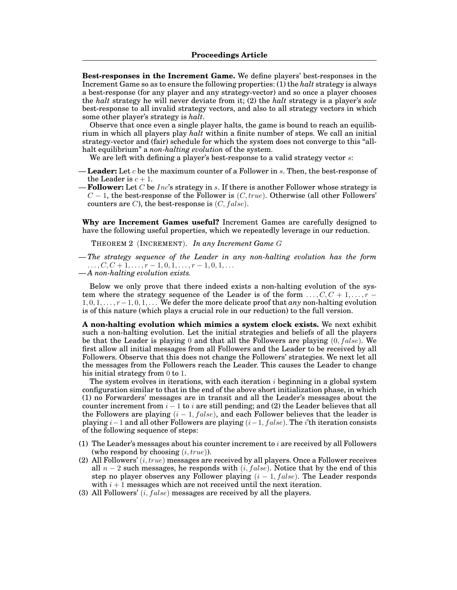**Best-responses in the Increment Game.** We define players' best-responses in the Increment Game so as to ensure the following properties: (1) the *halt* strategy is always a best-response (for any player and any strategy-vector) and so once a player chooses the *halt* strategy he will never deviate from it; (2) the *halt* strategy is a player's *sole* best-response to all invalid strategy vectors, and also to all strategy vectors in which some other player's strategy is *halt*.

Observe that once even a single player halts, the game is bound to reach an equilibrium in which all players play *halt* within a finite number of steps. We call an initial strategy-vector and (fair) schedule for which the system does not converge to this "allhalt equilibrium" a *non-halting evolution* of the system.

We are left with defining a player's best-response to a valid strategy vector *s*:

- **Leader:** Let *c* be the maximum counter of a Follower in *s*. Then, the best-response of the Leader is  $c + 1$ .
- **Follower:** Let *C* be *Inc*'s strategy in *s*. If there is another Follower whose strategy is  $C-1$ , the best-response of the Follower is  $(C, true)$ . Otherwise (all other Followers' counters are  $C$ ), the best-response is  $(C, false)$ .

**Why are Increment Games useful?** Increment Games are carefully designed to have the following useful properties, which we repeatedly leverage in our reduction.

THEOREM 2 (INCREMENT). *In any Increment Game G*

*— The strategy sequence of the Leader in any non-halting evolution has the form*  $\ldots$ ,  $C, C + 1, \ldots, r - 1, 0, 1, \ldots, r - 1, 0, 1, \ldots$ 

*— A non-halting evolution exists.*

Below we only prove that there indeed exists a non-halting evolution of the system where the strategy sequence of the Leader is of the form  $\dots, C, C+1, \dots, r-1$  $1, 0, 1, \ldots, r-1, 0, 1, \ldots$  We defer the more delicate proof that *any* non-halting evolution is of this nature (which plays a crucial role in our reduction) to the full version.

**A non-halting evolution which mimics a system clock exists.** We next exhibit such a non-halting evolution. Let the initial strategies and beliefs of all the players be that the Leader is playing 0 and that all the Followers are playing (0*, f alse*). We first allow all initial messages from all Followers and the Leader to be received by all Followers. Observe that this does not change the Followers' strategies. We next let all the messages from the Followers reach the Leader. This causes the Leader to change his initial strategy from 0 to 1.

The system evolves in iterations, with each iteration *i* beginning in a global system configuration similar to that in the end of the above short initialization phase, in which (1) no Forwarders' messages are in transit and all the Leader's messages about the counter increment from  $i - 1$  to  $i$  are still pending; and (2) the Leader believes that all the Followers are playing  $(i-1, false)$ , and each Follower believes that the leader is playing  $i-1$  and all other Followers are playing  $(i-1, false)$ . The *i*'th iteration consists of the following sequence of steps:

- (1) The Leader's messages about his counter increment to *i* are received by all Followers (who respond by choosing (*i, true*)).
- (2) All Followers' (*i, true*) messages are received by all players. Once a Follower receives all  $n-2$  such messages, he responds with  $(i, false)$ . Notice that by the end of this step no player observes any Follower playing  $(i - 1, false)$ . The Leader responds with  $i + 1$  messages which are not received until the next iteration.
- (3) All Followers' (*i, f alse*) messages are received by all the players.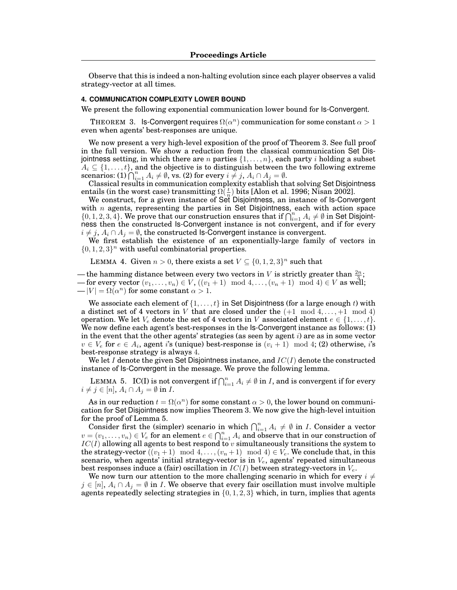Observe that this is indeed a non-halting evolution since each player observes a valid strategy-vector at all times.

## **4. COMMUNICATION COMPLEXITY LOWER BOUND**

We present the following exponential communication lower bound for Is-Convergent.

THEOREM 3. Is-Convergent requires  $\Omega(\alpha^n)$  communication for some constant  $\alpha > 1$ even when agents' best-responses are unique.

We now present a very high-level exposition of the proof of Theorem 3. See full proof in the full version. We show a reduction from the classical communication Set Disjointness setting, in which there are *n* parties  $\{1,\ldots,n\}$ , each party *i* holding a subset  $A_i \subseteq \{1, \ldots, t\}$ , and the objective is to distinguish between the two following extreme scenarios: (1)  $\bigcap_{i=1}^{n} A_i \neq \emptyset$ , vs. (2) for every  $i \neq j$ ,  $A_i \cap A_j = \emptyset$ .<br>Classical results in communication complexity establish that solving Set Disjointness

entails (in the worst case) transmitting  $\Omega(\frac{t}{n})$  bits [Alon et al. 1996; Nisan 2002].

We construct, for a given instance of Set Disjointness, an instance of Is-Convergent with *n* agents, representing the parties in Set Disjointness, each with action space  $\{0, 1, 2, 3, 4\}$ . We prove that our construction ensures that if  $\bigcap_{i=1}^{n} A_i \neq \emptyset$  in Set Disjointness then the constructed Is-Convergent instance is not convergent, and if for every

 $i \neq j$ ,  $A_i \cap A_j = \emptyset$ , the constructed Is-Convergent instance is convergent.<br>We first establish the existence of an exponentially-large family of vectors in  $\{0, 1, 2, 3\}$ <sup>n</sup> with useful combinatorial properties.

LEMMA 4. Given  $n > 0$ , there exists a set  $V \subseteq \{0, 1, 2, 3\}^n$  such that

— the hamming distance between every two vectors in *V* is strictly greater than  $\frac{2n}{3}$ ;

*—* for every vector  $(v_1, \ldots, v_n) \in V$ ,  $((v_1 + 1) \mod 4, \ldots, (v_n + 1) \mod 4) \in V$  as well;  $-|V| = \Omega(\alpha^n)$  for some constant  $\alpha > 1$ .

We associate each element of  $\{1,\ldots,t\}$  in Set Disjointness (for a large enough *t*) with a distinct set of 4 vectors in *V* that are closed under the  $(+1 \mod 4, ..., +1 \mod 4)$ operation. We let  $V_e$  denote the set of 4 vectors in *V* associated element  $e \in \{1, \ldots, t\}$ . We now define each agent's best-responses in the Is-Convergent instance as follows: (1) in the event that the other agents' strategies (as seen by agent *i*) are as in some vector  $v \in V_e$  for  $e \in A_i$ , agent *i*'s (unique) best-response is  $(v_i + 1) \mod 4$ ; (2) otherwise, *i*'s best-response strategy is always 4.

We let *I* denote the given Set Disjointness instance, and *IC*(*I*) denote the constructed instance of Is-Convergent in the message. We prove the following lemma.

LEMMA 5. IC(I) is not convergent if  $\bigcap_{i=1}^n A_i \neq \emptyset$  in *I*, and is convergent if for every  $i \neq j \in [n], A_i \cap A_j = \emptyset$  in *I*.

As in our reduction  $t = \Omega(\alpha^n)$  for some constant  $\alpha > 0$ , the lower bound on communication for Set Disjointness now implies Theorem 3. We now give the high-level intuition for the proof of Lemma 5.

Consider first the (simpler) scenario in which  $\bigcap_{i=1}^n A_i \neq \emptyset$  in *I*. Consider a vector  $v = (v_1, \ldots, v_n) \in V_e$  for an element  $e \in \bigcap_{i=1}^n A_i$  and observe that in our construction of  $IC(I)$  allowing all agents to best respond to *v* simultaneously transitions the system to the strategy-vector  $((v_1 + 1) \mod 4, \ldots, (v_n + 1) \mod 4) \in V_e$ . We conclude that, in this scenario, when agents' initial strategy-vector is in  $V_e$ , agents' repeated simultaneous best responses induce a (fair) oscillation in *IC*(*I*) between strategy-vectors in *Ve*.

We now turn our attention to the more challenging scenario in which for every  $i \neq$  $j \in [n]$ ,  $A_i \cap A_j = \emptyset$  in *I*. We observe that every fair oscillation must involve multiple agents repeatedly selecting strategies in *{*0*,* 1*,* 2*,* 3*}* which, in turn, implies that agents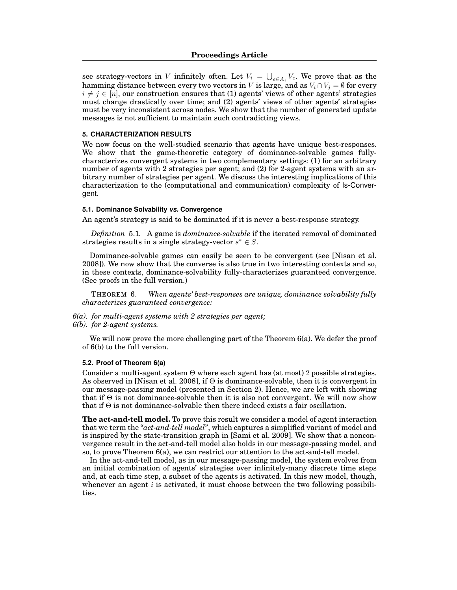see strategy-vectors in *V* infinitely often. Let  $V_i = \bigcup_{e \in A_i} V_e$ . We prove that as the hamming distance between every two vectors in *V* is large, and as  $V_i \cap V_j = \emptyset$  for every  $i \neq j \in [n]$ , our construction ensures that (1) agents' views of other agents' strategies must change drastically over time; and (2) agents' views of other agents' strategies must be very inconsistent across nodes. We show that the number of generated update messages is not sufficient to maintain such contradicting views.

## **5. CHARACTERIZATION RESULTS**

We now focus on the well-studied scenario that agents have unique best-responses. We show that the game-theoretic category of dominance-solvable games fullycharacterizes convergent systems in two complementary settings: (1) for an arbitrary number of agents with 2 strategies per agent; and (2) for 2-agent systems with an arbitrary number of strategies per agent. We discuss the interesting implications of this characterization to the (computational and communication) complexity of Is-Convergent.

## **5.1. Dominance Solvability** *vs.* **Convergence**

An agent's strategy is said to be dominated if it is never a best-response strategy.

*Definition* 5.1*.* A game is *dominance-solvable* if the iterated removal of dominated strategies results in a single strategy-vector  $s^* \in S$ .

Dominance-solvable games can easily be seen to be convergent (see [Nisan et al. 2008]). We now show that the converse is also true in two interesting contexts and so, in these contexts, dominance-solvability fully-characterizes guaranteed convergence. (See proofs in the full version.)

THEOREM 6. *When agents' best-responses are unique, dominance solvability fully characterizes guaranteed convergence:*

*6(a). for multi-agent systems with 2 strategies per agent; 6(b). for 2-agent systems.*

We will now prove the more challenging part of the Theorem 6(a). We defer the proof of 6(b) to the full version.

#### **5.2. Proof of Theorem 6(a)**

Consider a multi-agent system  $\Theta$  where each agent has (at most) 2 possible strategies. As observed in [Nisan et al. 2008], if  $\Theta$  is dominance-solvable, then it is convergent in our message-passing model (presented in Section 2). Hence, we are left with showing that if  $\Theta$  is not dominance-solvable then it is also not convergent. We will now show that if  $\Theta$  is not dominance-solvable then there indeed exists a fair oscillation.

**The act-and-tell model.** To prove this result we consider a model of agent interaction that we term the "*act-and-tell model*", which captures a simplified variant of model and is inspired by the state-transition graph in [Sami et al. 2009]. We show that a nonconvergence result in the act-and-tell model also holds in our message-passing model, and so, to prove Theorem 6(a), we can restrict our attention to the act-and-tell model.

In the act-and-tell model, as in our message-passing model, the system evolves from an initial combination of agents' strategies over infinitely-many discrete time steps and, at each time step, a subset of the agents is activated. In this new model, though, whenever an agent *i* is activated, it must choose between the two following possibilities.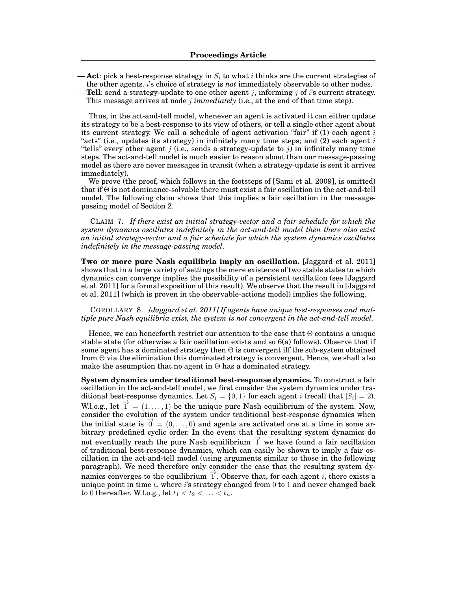- **Act**: pick a best-response strategy in *S<sup>i</sup>* to what *i* thinks are the current strategies of the other agents. *i*'s choice of strategy is *not* immediately observable to other nodes.
- **Tell**: send a strategy-update to one other agent *j*, informing *j* of *i*'s current strategy. This message arrives at node *j immediately* (i.e., at the end of that time step).

Thus, in the act-and-tell model, whenever an agent is activated it can either update its strategy to be a best-response to its view of others, or tell a single other agent about its current strategy. We call a schedule of agent activation "fair" if (1) each agent *i* "acts" (i.e., updates its strategy) in infinitely many time steps; and (2) each agent *i* "tells" every other agent *j* (i.e., sends a strategy-update to *j*) in infinitely many time steps. The act-and-tell model is much easier to reason about than our message-passing model as there are never messages in transit (when a strategy-update is sent it arrives immediately).

We prove (the proof, which follows in the footsteps of [Sami et al. 2009], is omitted) that if  $\Theta$  is not dominance-solvable there must exist a fair oscillation in the act-and-tell model. The following claim shows that this implies a fair oscillation in the messagepassing model of Section 2.

CLAIM 7. *If there exist an initial strategy-vector and a fair schedule for which the system dynamics oscillates indefinitely in the act-and-tell model then there also exist an initial strategy-vector and a fair schedule for which the system dynamics oscillates indefinitely in the message-passing model.*

**Two or more pure Nash equilibria imply an oscillation.** [Jaggard et al. 2011] shows that in a large variety of settings the mere existence of two stable states to which dynamics can converge implies the possibility of a persistent oscillation (see [Jaggard et al. 2011] for a formal exposition of this result). We observe that the result in [Jaggard et al. 2011] (which is proven in the observable-actions model) implies the following.

COROLLARY 8. *[Jaggard et al. 2011] If agents have unique best-responses and multiple pure Nash equilibria exist, the system is not convergent in the act-and-tell model.*

Hence, we can henceforth restrict our attention to the case that  $\Theta$  contains a unique stable state (for otherwise a fair oscillation exists and so 6(a) follows). Observe that if some agent has a dominated strategy then  $\Theta$  is convergent iff the sub-system obtained from  $\Theta$  via the elimination this dominated strategy is convergent. Hence, we shall also make the assumption that no agent in  $\Theta$  has a dominated strategy.

**System dynamics under traditional best-response dynamics.** To construct a fair oscillation in the act-and-tell model, we first consider the system dynamics under traditional best-response dynamics. Let  $S_i = \{0, 1\}$  for each agent *i* (recall that  $|S_i| = 2$ ). W.l.o.g., let  $\overrightarrow{1} = (1, \ldots, 1)$  be the unique pure Nash equilibrium of the system. Now, consider the evolution of the system under traditional best-response dynamics when the initial state is  $\vec{0} = (0, \ldots, 0)$  and agents are activated one at a time in some arbitrary predefined cyclic order. In the event that the resulting system dynamics do not eventually reach the pure Nash equilibrium  $\vec{1}$  we have found a fair oscillation of traditional best-response dynamics, which can easily be shown to imply a fair oscillation in the act-and-tell model (using arguments similar to those in the following paragraph). We need therefore only consider the case that the resulting system dynamics converges to the equilibrium  $\overrightarrow{1}$ . Observe that, for each agent *i*, there exists a unique point in time  $t_i$  where *i*'s strategy changed from 0 to 1 and never changed back to 0 thereafter. W.l.o.g., let  $t_1 < t_2 < ... < t_n$ .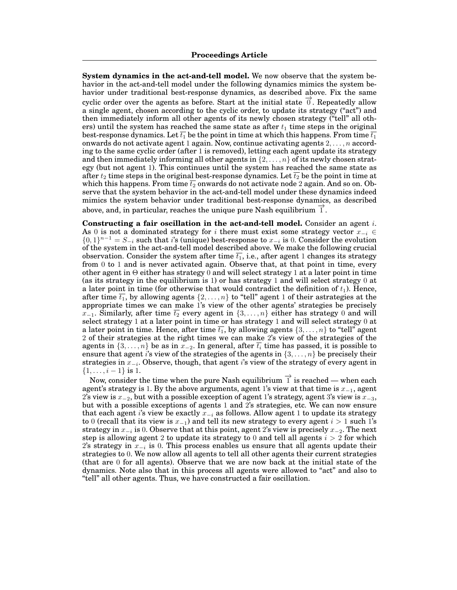**System dynamics in the act-and-tell model.** We now observe that the system behavior in the act-and-tell model under the following dynamics mimics the system behavior under traditional best-response dynamics, as described above. Fix the same cyclic order over the agents as before. Start at the initial state  $\vec{0}$ . Repeatedly allow a single agent, chosen according to the cyclic order, to update its strategy ("act") and then immediately inform all other agents of its newly chosen strategy ("tell" all others) until the system has reached the same state as after  $t_1$  time steps in the original best-response dynamics. Let  $\overline{t_1}$  be the point in time at which this happens. From time  $\overline{t_1}$ onwards do not activate agent 1 again. Now, continue activating agents 2*,...,n* according to the same cyclic order (after 1 is removed), letting each agent update its strategy and then immediately informing all other agents in *{*2*,...,n}* of its newly chosen strategy (but not agent 1). This continues until the system has reached the same state as after  $t_2$  time steps in the original best-response dynamics. Let  $\overline{t_2}$  be the point in time at which this happens. From time  $\overline{t_2}$  onwards do not activate node 2 again. And so on. Observe that the system behavior in the act-and-tell model under these dynamics indeed mimics the system behavior under traditional best-response dynamics, as described above, and, in particular, reaches the unique pure Nash equilibrium  $\overline{1}$ .

**Constructing a fair oscillation in the act-and-tell model.** Consider an agent *i*. As 0 is not a dominated strategy for *i* there must exist some strategy vector  $x_{-i} \in$  $\{0,1\}^{n-1} = S_{-i}$  such that *i*'s (unique) best-response to  $x_{-i}$  is 0. Consider the evolution of the system in the act-and-tell model described above. We make the following crucial observation. Consider the system after time  $\overline{t_1}$ , i.e., after agent 1 changes its strategy from 0 to 1 and is never activated again. Observe that, at that point in time, every other agent in  $\Theta$  either has strategy 0 and will select strategy 1 at a later point in time (as its strategy in the equilibrium is 1) or has strategy 1 and will select strategy 0 at a later point in time (for otherwise that would contradict the definition of  $t_1$ ). Hence, after time  $\overline{t_1}$ , by allowing agents  $\{2,\ldots,n\}$  to "tell" agent 1 of their astrategies at the appropriate times we can make 1's view of the other agents' strategies be precisely  $x_{-1}$ . Similarly, after time  $\overline{t_2}$  every agent in  $\{3,\ldots,n\}$  either has strategy 0 and will select strategy 1 at a later point in time or has strategy 1 and will select strategy 0 at a later point in time. Hence, after time  $\overline{t_1}$ , by allowing agents  $\{3,\ldots,n\}$  to "tell" agent 2 of their strategies at the right times we can make 2's view of the strategies of the agents in  $\{3,\ldots,n\}$  be as in  $x_{-2}$ . In general, after  $\overline{t_i}$  time has passed, it is possible to ensure that agent *i*'s view of the strategies of the agents in *{*3*,...,n}* be precisely their strategies in  $x_{i}$ . Observe, though, that agent *i*'s view of the strategy of every agent in  $\{1, \ldots, i-1\}$  is 1.

Now, consider the time when the pure Nash equilibrium  $\vec{1}$  is reached — when each agent's strategy is 1. By the above arguments, agent 1's view at that time is  $x_{-1}$ , agent 2's view is  $x_{-2}$ , but with a possible exception of agent 1's strategy, agent 3's view is  $x_{-3}$ , but with a possible exceptions of agents 1 and 2's strategies, etc. We can now ensure that each agent *i*'s view be exactly  $x_{-i}$  as follows. Allow agent 1 to update its strategy to 0 (recall that its view is  $x_{-1}$ ) and tell its new strategy to every agent  $i > 1$  such 1's strategy in  $x_{i}$  is 0. Observe that at this point, agent 2's view is precisely  $x_{i-2}$ . The next step is allowing agent 2 to update its strategy to 0 and tell all agents  $i > 2$  for which 2's strategy in  $x_{i}$  is 0. This process enables us ensure that all agents update their strategies to 0. We now allow all agents to tell all other agents their current strategies (that are 0 for all agents). Observe that we are now back at the initial state of the dynamics. Note also that in this process all agents were allowed to "act" and also to "tell" all other agents. Thus, we have constructed a fair oscillation.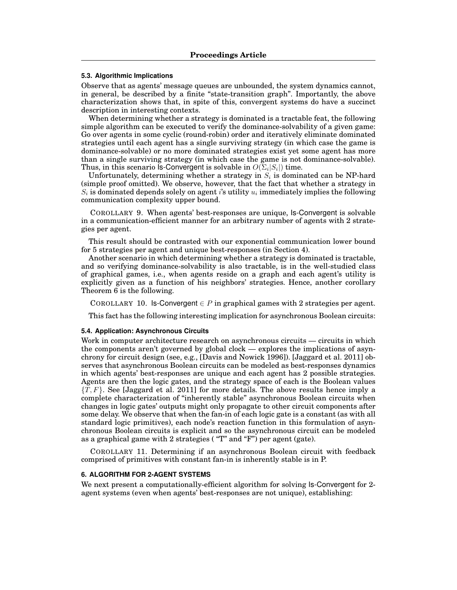#### **5.3. Algorithmic Implications**

Observe that as agents' message queues are unbounded, the system dynamics cannot, in general, be described by a finite "state-transition graph". Importantly, the above characterization shows that, in spite of this, convergent systems do have a succinct description in interesting contexts.

When determining whether a strategy is dominated is a tractable feat, the following simple algorithm can be executed to verify the dominance-solvability of a given game: Go over agents in some cyclic (round-robin) order and iteratively eliminate dominated strategies until each agent has a single surviving strategy (in which case the game is dominance-solvable) or no more dominated strategies exist yet some agent has more than a single surviving strategy (in which case the game is not dominance-solvable). Thus, in this scenario Is-Convergent is solvable in  $O(\Sigma_i|S_i|)$  time.

Unfortunately, determining whether a strategy in  $S_i$  is dominated can be NP-hard (simple proof omitted). We observe, however, that the fact that whether a strategy in  $S_i$  is dominated depends solely on agent *i*'s utility  $u_i$  immediately implies the following communication complexity upper bound.

COROLLARY 9. When agents' best-responses are unique, Is-Convergent is solvable in a communication-efficient manner for an arbitrary number of agents with 2 strategies per agent.

This result should be contrasted with our exponential communication lower bound for 5 strategies per agent and unique best-responses (in Section 4).

Another scenario in which determining whether a strategy is dominated is tractable, and so verifying dominance-solvability is also tractable, is in the well-studied class of graphical games, i.e., when agents reside on a graph and each agent's utility is explicitly given as a function of his neighbors' strategies. Hence, another corollary Theorem 6 is the following.

COROLLARY 10. Is-Convergent  $\in P$  in graphical games with 2 strategies per agent.

This fact has the following interesting implication for asynchronous Boolean circuits:

### **5.4. Application: Asynchronous Circuits**

Work in computer architecture research on asynchronous circuits — circuits in which the components aren't governed by global clock — explores the implications of asynchrony for circuit design (see, e.g., [Davis and Nowick 1996]). [Jaggard et al. 2011] observes that asynchronous Boolean circuits can be modeled as best-responses dynamics in which agents' best-responses are unique and each agent has 2 possible strategies. Agents are then the logic gates, and the strategy space of each is the Boolean values *{T,F}*. See [Jaggard et al. 2011] for more details. The above results hence imply a complete characterization of "inherently stable" asynchronous Boolean circuits when changes in logic gates' outputs might only propagate to other circuit components after some delay. We observe that when the fan-in of each logic gate is a constant (as with all standard logic primitives), each node's reaction function in this formulation of asynchronous Boolean circuits is explicit and so the asynchronous circuit can be modeled as a graphical game with 2 strategies ( "T" and "F") per agent (gate).

COROLLARY 11. Determining if an asynchronous Boolean circuit with feedback comprised of primitives with constant fan-in is inherently stable is in P.

#### **6. ALGORITHM FOR 2-AGENT SYSTEMS**

We next present a computationally-efficient algorithm for solving Is-Convergent for 2 agent systems (even when agents' best-responses are not unique), establishing: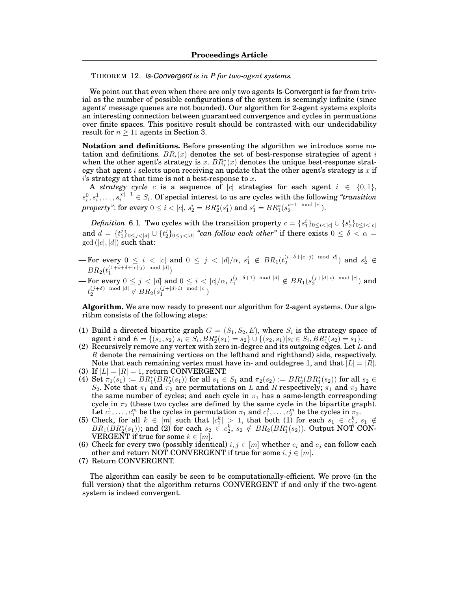THEOREM 12. *Is-Convergent is in P for two-agent systems.*

We point out that even when there are only two agents Is-Convergent is far from trivial as the number of possible configurations of the system is seemingly infinite (since agents' message queues are not bounded). Our algorithm for 2-agent systems exploits an interesting connection between guaranteed convergence and cycles in permuations over finite spaces. This positive result should be contrasted with our undecidability result for  $n \geq 11$  agents in Section 3.

**Notation and definitions.** Before presenting the algorithm we introduce some notation and definitions.  $BR<sub>i</sub>(x)$  denotes the set of best-response strategies of agent *i* when the other agent's strategy is  $x$ .  $BR_i^*(x)$  denotes the unique best-response strategy that agent *i* selects upon receiving an update that the other agent's strategy is *x* if *i*'s strategy at that time is not a best-response to *x*.

A *strategy cycle c* is a sequence of  $|c|$  strategies for each agent  $i \in \{0,1\}$ ,  $s_i^0, s_i^1, \ldots, s_i^{|c|-1} \in S_i$ . Of special interest to us are cycles with the following *"transition*"  $\textit{property"}$ : for every  $0 \leq i < |c|, s_2^i = BR_2^*(s_1^i) \text{ and } s_1^i = BR_1^*(s_2^{i-1 \mod |c|}).$ 

*Definition* 6.1. Two cycles with the transition property  $c = \{s_1^i\}_{0 \leq i < |c|} \cup \{s_2^i\}_{0 \leq i < |c|}$ and  $d = \{t_1^j\}_{0 \leq j < |d|} \cup \{t_2^j\}_{0 \leq j < |d|}$  "can follow each other" if there exists  $0 \leq \delta < \alpha =$  $gcd(|c|, |d|)$  such that:

- For every  $0 \leq i \leq |c|$  and  $0 \leq j \leq |d|/\alpha$ ,  $s_1^i \notin BR_1(t_2^{(i+\delta+|c| \cdot j) \mod |d|})$  and  $s_2^i \notin$  $BR_2(t_1^{(1+i+\delta+|c|\cdot j)} \mod |d|)$
- $-$  For every  $0 \leq j < |d|$  and  $0 \leq i < |c|/\alpha$ ,  $t_1^{(j+\delta+1) \mod |d|} \notin BR_1(s_2^{(j+|d| \cdot i) \mod |c|})$  and  $t_2^{(j+\delta)} \mod |d| \notin BR_2(s_1^{(j+|d| \cdot i) \mod |c|})$

**Algorithm.** We are now ready to present our algorithm for 2-agent systems. Our algorithm consists of the following steps:

- (1) Build a directed bipartite graph  $G = (S_1, S_2, E)$ , where  $S_i$  is the strategy space of agent  $i$  and  $E = \{(s_1, s_2) | s_i \in S_i, BR_2^*(s_1) = s_2\} \cup \{(s_2, s_1) | s_i \in S_i, BR_1^*(s_2) = s_1\}.$
- (2) Recursively remove any vertex with zero in-degree and its outgoing edges. Let *L* and *R* denote the remaining vertices on the lefthand and righthand) side, respectively. Note that each remaining vertex must have in- and outdegree 1, and that  $|L| = |R|$ .
- (3) If  $|L| = |R| = 1$ , return CONVERGENT.
- $(4) \ \text{Set} \ \pi_1(s_1) := BR_1^*(BR_2^*(s_1)) \text{ for all } s_1 \in S_1 \text{ and } \pi_2(s_2) := BR_2^*(BR_1^*(s_2)) \text{ for all } s_2 \in S_1.$ *S*<sub>2</sub>. Note that  $\pi_1$  and  $\pi_2$  are permutations on *L* and *R* respectively;  $\pi_1$  and  $\pi_2$  have the same number of cycles; and each cycle in  $\pi_1$  has a same-length corresponding cycle in  $\pi_2$  (these two cycles are defined by the same cycle in the bipartite graph). Let  $c_1^1, \ldots, c_1^m$  be the cycles in permutation  $\pi_1$  and  $c_1^2, \ldots, c_2^m$  be the cycles in  $\pi_2$ .
- (5) Check, for all  $k \in [m]$  such that  $|c_1^k| > 1$ , that both (1) for each  $s_1 \in c_1^k$ ,  $s_1 \notin$  $BR_1(BR_2^*(s_1))$ ; and (2) for each  $s_2 \in c_2^k$ ,  $s_2 \notin BR_2(BR_1^*(s_2))$ . Output NOT CON-**VERGENT** if true for some  $k \in [m]$ .
- (6) Check for every two (possibly identical)  $i, j \in [m]$  whether  $c_i$  and  $c_j$  can follow each other and return NOT CONVERGENT if true for some  $i, j \in [m]$ .
- (7) Return CONVERGENT.

The algorithm can easily be seen to be computationally-efficient. We prove (in the full version) that the algorithm returns CONVERGENT if and only if the two-agent system is indeed convergent.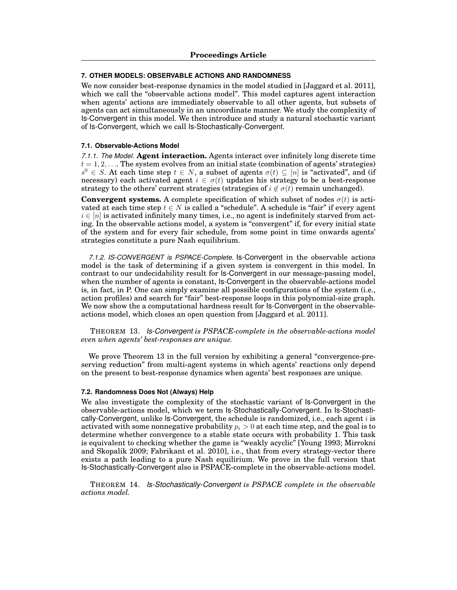## **7. OTHER MODELS: OBSERVABLE ACTIONS AND RANDOMNESS**

We now consider best-response dynamics in the model studied in [Jaggard et al. 2011], which we call the "observable actions model". This model captures agent interaction when agents' actions are immediately observable to all other agents, but subsets of agents can act simultaneously in an uncoordinate manner. We study the complexity of Is-Convergent in this model. We then introduce and study a natural stochastic variant of Is-Convergent, which we call Is-Stochastically-Convergent.

#### **7.1. Observable-Actions Model**

*7.1.1. The Model.* **Agent interaction.** Agents interact over infinitely long discrete time  $t = 1, 2, \ldots$  The system evolves from an initial state (combination of agents' strategies)  $s^0 \in S$ . At each time step  $t \in N$ , a subset of agents  $\sigma(t) \subseteq [n]$  is "activated", and (if necessary) each activated agent  $i \in \sigma(t)$  updates his strategy to be a best-response strategy to the others' current strategies (strategies of  $i \notin \sigma(t)$  remain unchanged).

**Convergent systems.** A complete specification of which subset of nodes  $\sigma(t)$  is activated at each time step  $t \in N$  is called a "schedule". A schedule is "fair" if every agent  $i \in [n]$  is activated infinitely many times, i.e., no agent is indefinitely starved from acting. In the observable actions model, a system is "convergent" if, for every initial state of the system and for every fair schedule, from some point in time onwards agents' strategies constitute a pure Nash equilibrium.

*7.1.2. IS-CONVERGENT is PSPACE-Complete.* Is-Convergent in the observable actions model is the task of determining if a given system is convergent in this model. In contrast to our undecidability result for Is-Convergent in our message-passing model, when the number of agents is constant, Is-Convergent in the observable-actions model is, in fact, in P. One can simply examine all possible configurations of the system (i.e., action profiles) and search for "fair" best-response loops in this polynomial-size graph. We now show the a computational hardness result for Is-Convergent in the observableactions model, which closes an open question from [Jaggard et al. 2011].

THEOREM 13. *Is-Convergent is PSPACE-complete in the observable-actions model even when agents' best-responses are unique.*

We prove Theorem 13 in the full version by exhibiting a general "convergence-preserving reduction" from multi-agent systems in which agents' reactions only depend on the present to best-response dynamics when agents' best responses are unique.

## **7.2. Randomness Does Not (Always) Help**

We also investigate the complexity of the stochastic variant of Is-Convergent in the observable-actions model, which we term Is-Stochastically-Convergent. In Is-Stochastically-Convergent, unlike Is-Convergent, the schedule is randomized, i.e., each agent *i* is activated with some nonnegative probability  $p_i > 0$  at each time step, and the goal is to determine whether convergence to a stable state occurs with probability 1. This task is equivalent to checking whether the game is "weakly acyclic" [Young 1993; Mirrokni and Skopalik 2009; Fabrikant et al. 2010], i.e., that from every strategy-vector there exists a path leading to a pure Nash equilirium. We prove in the full version that Is-Stochastically-Convergent also is PSPACE-complete in the observable-actions model.

THEOREM 14. *Is-Stochastically-Convergent is PSPACE complete in the observable actions model.*